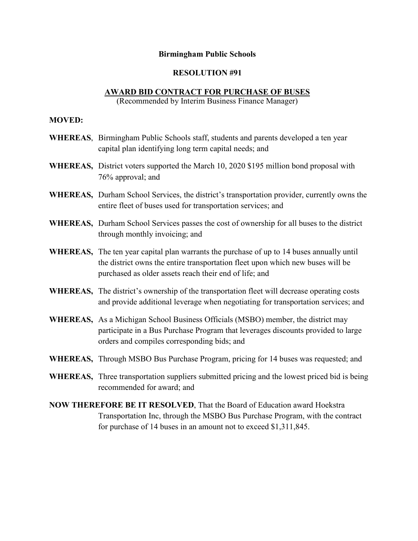## **Birmingham Public Schools**

## **RESOLUTION #91**

## **AWARD BID CONTRACT FOR PURCHASE OF BUSES**

(Recommended by Interim Business Finance Manager)

## **MOVED:**

- **WHEREAS**, Birmingham Public Schools staff, students and parents developed a ten year capital plan identifying long term capital needs; and
- **WHEREAS,** District voters supported the March 10, 2020 \$195 million bond proposal with 76% approval; and
- **WHEREAS,** Durham School Services, the district's transportation provider, currently owns the entire fleet of buses used for transportation services; and
- **WHEREAS,** Durham School Services passes the cost of ownership for all buses to the district through monthly invoicing; and
- **WHEREAS,** The ten year capital plan warrants the purchase of up to 14 buses annually until the district owns the entire transportation fleet upon which new buses will be purchased as older assets reach their end of life; and
- **WHEREAS,** The district's ownership of the transportation fleet will decrease operating costs and provide additional leverage when negotiating for transportation services; and
- **WHEREAS,** As a Michigan School Business Officials (MSBO) member, the district may participate in a Bus Purchase Program that leverages discounts provided to large orders and compiles corresponding bids; and
- **WHEREAS,** Through MSBO Bus Purchase Program, pricing for 14 buses was requested; and
- **WHEREAS,** Three transportation suppliers submitted pricing and the lowest priced bid is being recommended for award; and
- **NOW THEREFORE BE IT RESOLVED**, That the Board of Education award Hoekstra Transportation Inc, through the MSBO Bus Purchase Program, with the contract for purchase of 14 buses in an amount not to exceed \$1,311,845.